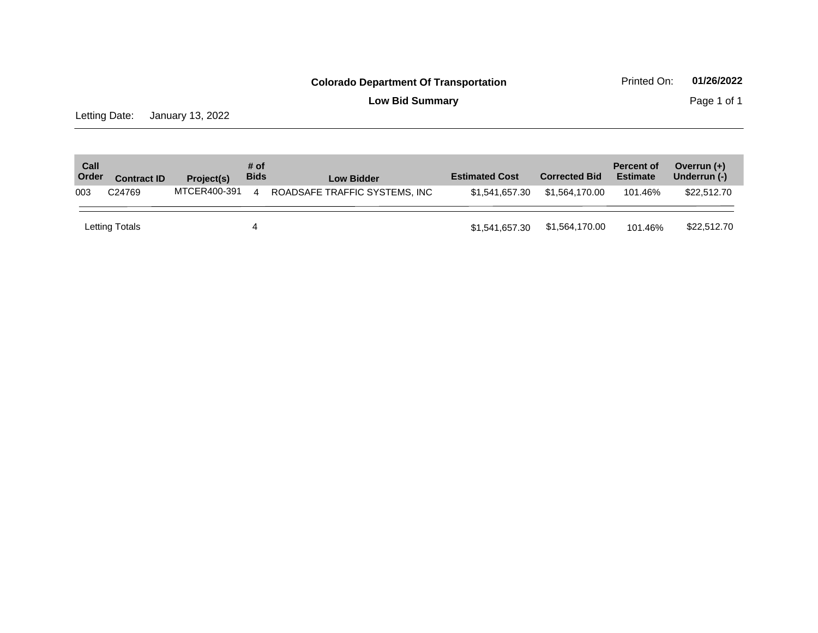**Low Bid Summary Page 1 of 1** 

Letting Date: January 13, 2022

| Call<br>Order | <b>Contract ID</b> | Project(s)   | # of<br><b>Bids</b>    | <b>Low Bidder</b>             | <b>Estimated Cost</b> | <b>Corrected Bid</b> | <b>Percent of</b><br><b>Estimate</b> | Overrun $(+)$<br>Underrun (-) |
|---------------|--------------------|--------------|------------------------|-------------------------------|-----------------------|----------------------|--------------------------------------|-------------------------------|
| 003           | C <sub>24769</sub> | MTCER400-391 | $\boldsymbol{\Lambda}$ | ROADSAFE TRAFFIC SYSTEMS. INC | \$1,541,657,30        | \$1.564.170.00       | 101.46%                              | \$22,512,70                   |
|               | Letting Totals     |              |                        |                               | \$1,541,657.30        | \$1,564,170.00       | 101.46%                              | \$22,512.70                   |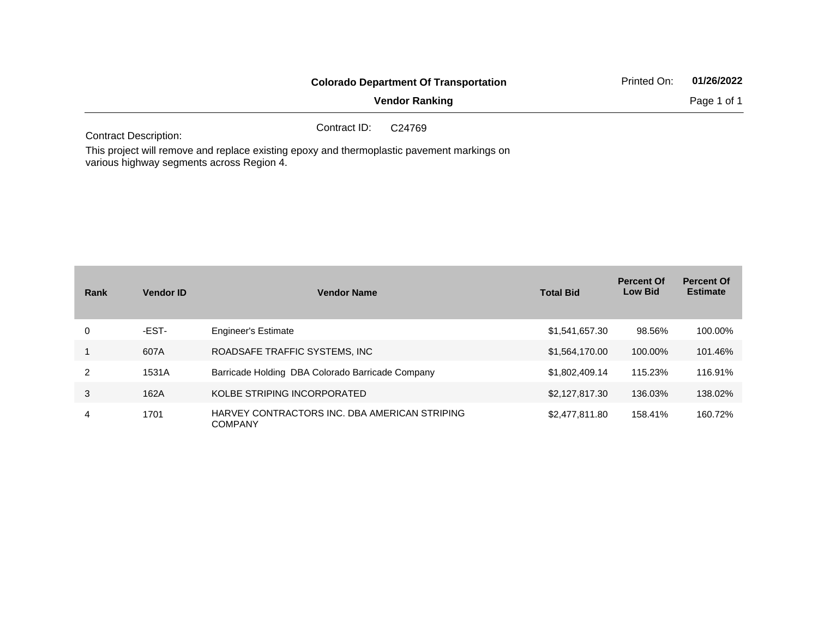|                              | <b>Colorado Department Of Transportation</b> | Printed On: | 01/26/2022 |             |
|------------------------------|----------------------------------------------|-------------|------------|-------------|
|                              | <b>Vendor Ranking</b>                        |             |            | Page 1 of 1 |
| <b>Contract Description:</b> | Contract ID:<br>C24769                       |             |            |             |

This project will remove and replace existing epoxy and thermoplastic pavement markings on various highway segments across Region 4.

| Rank | <b>Vendor ID</b> | <b>Vendor Name</b>                                              | <b>Total Bid</b> | <b>Percent Of</b><br><b>Low Bid</b> | <b>Percent Of</b><br><b>Estimate</b> |
|------|------------------|-----------------------------------------------------------------|------------------|-------------------------------------|--------------------------------------|
| 0    | -EST-            | <b>Engineer's Estimate</b>                                      | \$1,541,657.30   | 98.56%                              | 100.00%                              |
|      | 607A             | ROADSAFE TRAFFIC SYSTEMS, INC                                   | \$1,564,170.00   | 100.00%                             | 101.46%                              |
| 2    | 1531A            | Barricade Holding DBA Colorado Barricade Company                | \$1,802,409.14   | 115.23%                             | 116.91%                              |
| 3    | 162A             | KOLBE STRIPING INCORPORATED                                     | \$2,127,817.30   | 136.03%                             | 138.02%                              |
| 4    | 1701             | HARVEY CONTRACTORS INC. DBA AMERICAN STRIPING<br><b>COMPANY</b> | \$2,477,811.80   | 158.41%                             | 160.72%                              |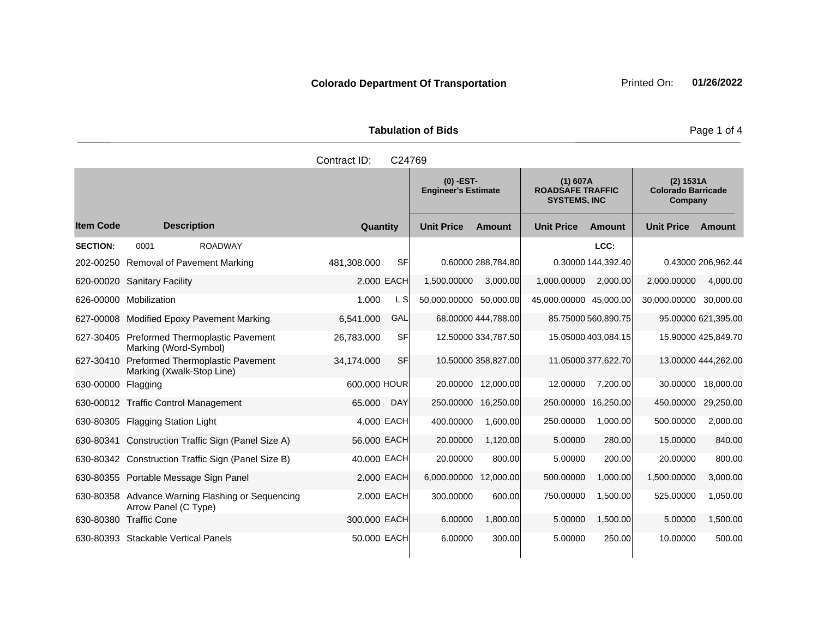| <b>Tabulation of Bids</b> |  |  |  |  |  |  |  |
|---------------------------|--|--|--|--|--|--|--|
| Contract ID: C24769       |  |  |  |  |  |  |  |

|                    |                                                                          |                          | $(0)$ -EST-<br><b>Engineer's Estimate</b> |                     | (1) 607A<br><b>ROADSAFE TRAFFIC</b><br><b>SYSTEMS, INC</b> |                     | (2) 1531A<br><b>Colorado Barricade</b><br>Company |                     |
|--------------------|--------------------------------------------------------------------------|--------------------------|-------------------------------------------|---------------------|------------------------------------------------------------|---------------------|---------------------------------------------------|---------------------|
| <b>Item Code</b>   | <b>Description</b>                                                       | Quantity                 | <b>Unit Price</b>                         | Amount              | <b>Unit Price</b>                                          | Amount              | <b>Unit Price</b>                                 | Amount              |
| <b>SECTION:</b>    | 0001<br><b>ROADWAY</b>                                                   |                          |                                           |                     |                                                            | LCC:                |                                                   |                     |
|                    | 202-00250 Removal of Pavement Marking                                    | <b>SF</b><br>481,308.000 |                                           | 0.60000 288,784.80  |                                                            | 0.30000 144,392.40  |                                                   | 0.43000 206,962.44  |
|                    | 620-00020 Sanitary Facility                                              | 2.000 EACH               | 1,500.00000                               | 3,000.00            | 1,000.00000                                                | 2,000.00            | 2,000.00000                                       | 4.000.00            |
|                    | 626-00000 Mobilization                                                   | 1.000<br>L S             | 50,000.00000 50,000.00                    |                     | 45,000.00000 45,000.00                                     |                     | 30,000.00000                                      | 30,000.00           |
|                    | 627-00008 Modified Epoxy Pavement Marking                                | 6.541.000<br>GAL         |                                           | 68,00000 444.788.00 |                                                            | 85.75000 560,890.75 |                                                   | 95.00000 621,395.00 |
| 627-30405          | <b>Preformed Thermoplastic Pavement</b><br>Marking (Word-Symbol)         | <b>SF</b><br>26,783.000  |                                           | 12.50000 334,787.50 |                                                            | 15.05000 403,084.15 |                                                   | 15.90000 425,849.70 |
|                    | 627-30410 Preformed Thermoplastic Pavement<br>Marking (Xwalk-Stop Line)  | <b>SF</b><br>34,174.000  |                                           | 10.50000 358,827.00 |                                                            | 11.05000 377,622.70 |                                                   | 13.00000 444,262.00 |
| 630-00000 Flagging |                                                                          | 600,000 HOUR             | 20,00000                                  | 12,000.00           | 12.00000                                                   | 7,200.00            | 30.00000                                          | 18,000.00           |
|                    | 630-00012 Traffic Control Management                                     | 65.000<br><b>DAY</b>     | 250,00000                                 | 16,250.00           | 250.00000                                                  | 16,250.00           | 450.00000                                         | 29,250.00           |
| 630-80305          | <b>Flagging Station Light</b>                                            | 4.000 EACH               | 400.00000                                 | 1.600.00            | 250.00000                                                  | 1,000.00            | 500.00000                                         | 2,000.00            |
| 630-80341          | Construction Traffic Sign (Panel Size A)                                 | 56.000 EACH              | 20.00000                                  | 1,120.00            | 5.00000                                                    | 280.00              | 15,00000                                          | 840.00              |
|                    | 630-80342 Construction Traffic Sign (Panel Size B)                       | 40,000 EACH              | 20.00000                                  | 800.00              | 5.00000                                                    | 200.00              | 20.00000                                          | 800.00              |
|                    | 630-80355 Portable Message Sign Panel                                    | 2.000 EACH               | 6,000.00000                               | 12,000.00           | 500.00000                                                  | 1,000.00            | 1,500.00000                                       | 3,000.00            |
|                    | 630-80358 Advance Warning Flashing or Sequencing<br>Arrow Panel (C Type) | 2,000 EACH               | 300.00000                                 | 600.00              | 750.00000                                                  | 1,500.00            | 525.00000                                         | 1,050.00            |
|                    | 630-80380 Traffic Cone                                                   | 300.000 EACH             | 6.00000                                   | 1,800.00            | 5.00000                                                    | 1,500.00            | 5.00000                                           | 1,500.00            |
|                    | 630-80393 Stackable Vertical Panels                                      | 50.000 EACH              | 6.00000                                   | 300.00              | 5.00000                                                    | 250.00              | 10.00000                                          | 500.00              |

Page 1 of 4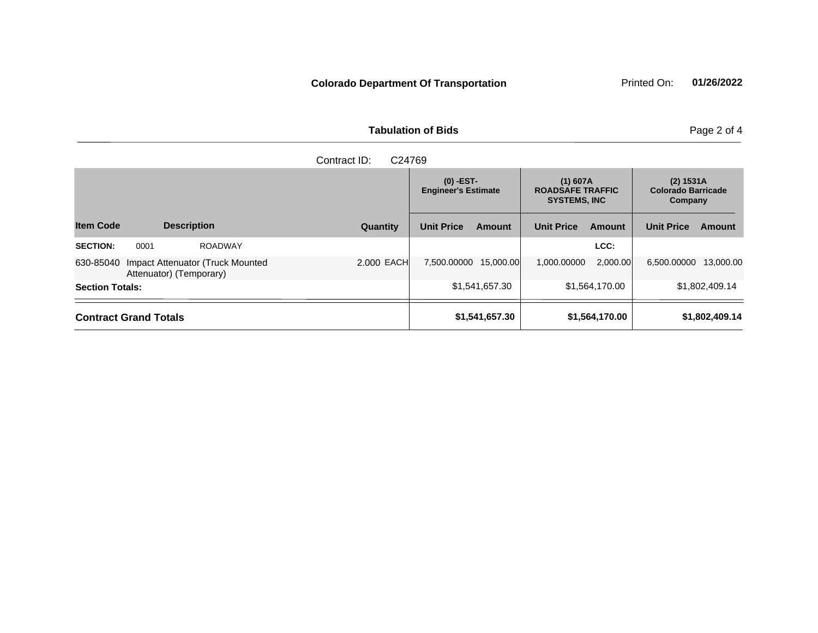|                        | Contract ID:<br>C24769                                      |            |                                           |                |                                                              |                |                                                   |                |  |
|------------------------|-------------------------------------------------------------|------------|-------------------------------------------|----------------|--------------------------------------------------------------|----------------|---------------------------------------------------|----------------|--|
|                        |                                                             |            | $(0)$ -EST-<br><b>Engineer's Estimate</b> |                | $(1)$ 607A<br><b>ROADSAFE TRAFFIC</b><br><b>SYSTEMS, INC</b> |                | (2) 1531A<br><b>Colorado Barricade</b><br>Company |                |  |
| <b>Item Code</b>       | <b>Description</b>                                          | Quantity   | <b>Unit Price</b>                         | Amount         | <b>Unit Price</b>                                            | Amount         | <b>Unit Price</b>                                 | Amount         |  |
| <b>SECTION:</b>        | <b>ROADWAY</b><br>0001                                      |            |                                           |                |                                                              | LCC:           |                                                   |                |  |
| 630-85040              | Impact Attenuator (Truck Mounted<br>Attenuator) (Temporary) | 2.000 EACH | 7,500.00000                               | 15,000.00      | 1,000.00000                                                  | 2,000.00       | 6,500.00000                                       | 13,000.00      |  |
| <b>Section Totals:</b> |                                                             |            |                                           | \$1,541,657.30 |                                                              | \$1,564,170.00 |                                                   | \$1,802,409.14 |  |
|                        | <b>Contract Grand Totals</b>                                |            |                                           | \$1,541,657.30 |                                                              | \$1,564,170.00 |                                                   | \$1,802,409.14 |  |

## **Tabulation of Bids** Page 2 of 4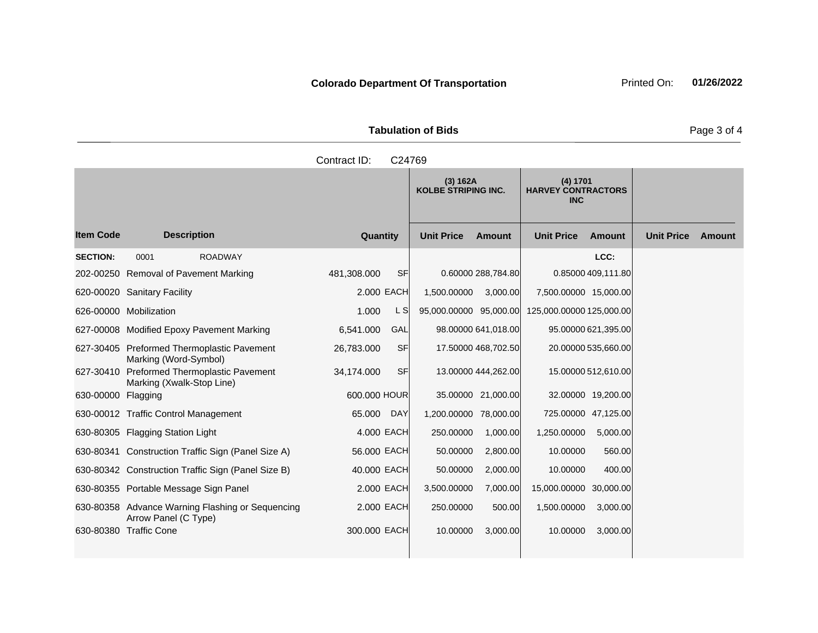| <b>Tabulation of Bids</b> |  |
|---------------------------|--|
|                           |  |

|                    |                                                                          | Contract ID:    | C24769    |                                        |                     |                                                     |                     |                   |        |
|--------------------|--------------------------------------------------------------------------|-----------------|-----------|----------------------------------------|---------------------|-----------------------------------------------------|---------------------|-------------------|--------|
|                    |                                                                          |                 |           | (3) 162A<br><b>KOLBE STRIPING INC.</b> |                     | (4) 1701<br><b>HARVEY CONTRACTORS</b><br><b>INC</b> |                     |                   |        |
| <b>Item Code</b>   | <b>Description</b>                                                       | <b>Quantity</b> |           | <b>Unit Price</b>                      | Amount              | <b>Unit Price</b>                                   | <b>Amount</b>       | <b>Unit Price</b> | Amount |
| <b>SECTION:</b>    | 0001<br><b>ROADWAY</b>                                                   |                 |           |                                        |                     |                                                     | LCC:                |                   |        |
|                    | 202-00250 Removal of Pavement Marking                                    | 481,308.000     | <b>SF</b> |                                        | 0.60000 288,784.80  |                                                     | 0.85000 409,111.80  |                   |        |
|                    | 620-00020 Sanitary Facility                                              | 2.000 EACH      |           | 1,500.00000                            | 3,000.00            | 7,500.00000 15,000.00                               |                     |                   |        |
|                    | 626-00000 Mobilization                                                   | 1.000           | L S       | 95,000.00000 95,000.00                 |                     | 125,000.00000 125,000.00                            |                     |                   |        |
|                    | 627-00008 Modified Epoxy Pavement Marking                                | 6,541.000       | GAL       |                                        | 98.00000 641,018.00 |                                                     | 95.00000 621,395.00 |                   |        |
|                    | 627-30405 Preformed Thermoplastic Pavement<br>Marking (Word-Symbol)      | 26,783.000      | <b>SF</b> |                                        | 17.50000 468,702.50 |                                                     | 20.00000 535,660.00 |                   |        |
|                    | 627-30410 Preformed Thermoplastic Pavement<br>Marking (Xwalk-Stop Line)  | 34,174.000      | <b>SF</b> |                                        | 13.00000 444,262.00 |                                                     | 15.00000 512,610.00 |                   |        |
| 630-00000 Flagging |                                                                          | 600.000 HOUR    |           |                                        | 35.00000 21,000.00  |                                                     | 32.00000 19,200.00  |                   |        |
|                    | 630-00012 Traffic Control Management                                     | 65.000          | DAY       | 1,200.00000 78,000.00                  |                     |                                                     | 725.00000 47,125.00 |                   |        |
|                    | 630-80305 Flagging Station Light                                         | 4.000 EACH      |           | 250.00000                              | 1,000.00            | 1,250.00000                                         | 5,000.00            |                   |        |
|                    | 630-80341 Construction Traffic Sign (Panel Size A)                       | 56.000 EACH     |           | 50.00000                               | 2,800.00            | 10.00000                                            | 560.00              |                   |        |
|                    | 630-80342 Construction Traffic Sign (Panel Size B)                       | 40.000 EACH     |           | 50.00000                               | 2,000.00            | 10.00000                                            | 400.00              |                   |        |
|                    | 630-80355 Portable Message Sign Panel                                    | 2.000 EACH      |           | 3,500.00000                            | 7,000.00            | 15,000.00000                                        | 30,000.00           |                   |        |
|                    | 630-80358 Advance Warning Flashing or Sequencing<br>Arrow Panel (C Type) | 2.000 EACH      |           | 250.00000                              | 500.00              | 1,500.00000                                         | 3,000.00            |                   |        |
|                    | 630-80380 Traffic Cone                                                   | 300.000 EACH    |           | 10.00000                               | 3,000.00            | 10.00000                                            | 3,000.00            |                   |        |

Page 3 of 4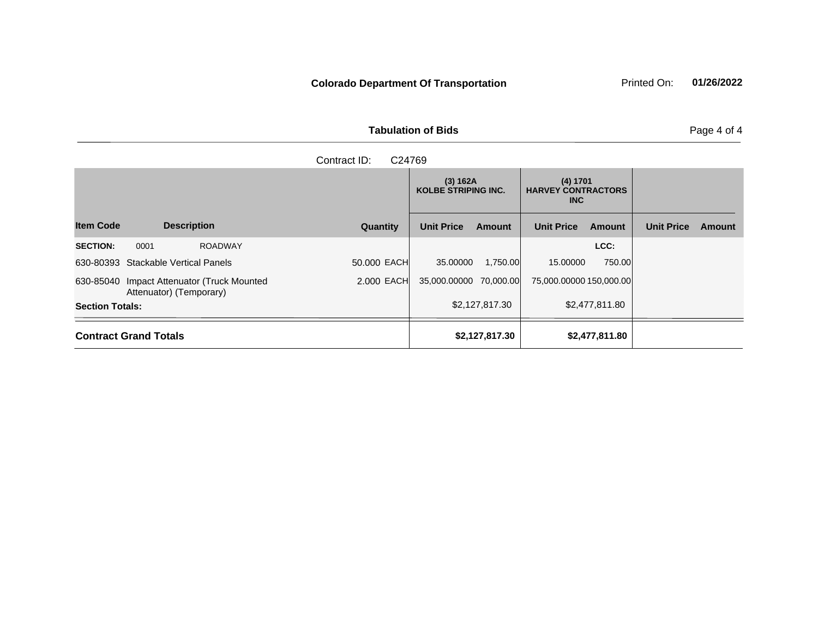**Tabulation of Bids** Page 4 of 4

| Contract ID: C24769 |  |
|---------------------|--|

|                        |                                                                       |                |              | KOLBE STRIPING INC.    |                | <b>HARVEY CONTRACTORS</b><br>INC. |                |                   |               |
|------------------------|-----------------------------------------------------------------------|----------------|--------------|------------------------|----------------|-----------------------------------|----------------|-------------------|---------------|
| <b>Item Code</b>       | <b>Description</b>                                                    |                | Quantity     | <b>Unit Price</b>      | <b>Amount</b>  | <b>Unit Price</b>                 | <b>Amount</b>  | <b>Unit Price</b> | <b>Amount</b> |
| <b>SECTION:</b>        | 0001                                                                  | <b>ROADWAY</b> |              |                        |                |                                   | LCC:           |                   |               |
|                        | 630-80393 Stackable Vertical Panels                                   |                | 50,000 EACH  | 35,00000               | 1.750.00       | 15,00000                          | 750.00         |                   |               |
|                        | 630-85040 Impact Attenuator (Truck Mounted<br>Attenuator) (Temporary) |                | $2.000$ EACH | 35.000.00000 70.000.00 |                | 75,000.00000 150,000.00           |                |                   |               |
| <b>Section Totals:</b> |                                                                       |                |              |                        | \$2,127,817.30 |                                   | \$2,477,811.80 |                   |               |
|                        | <b>Contract Grand Totals</b>                                          |                |              |                        | \$2,127,817.30 |                                   | \$2,477,811.80 |                   |               |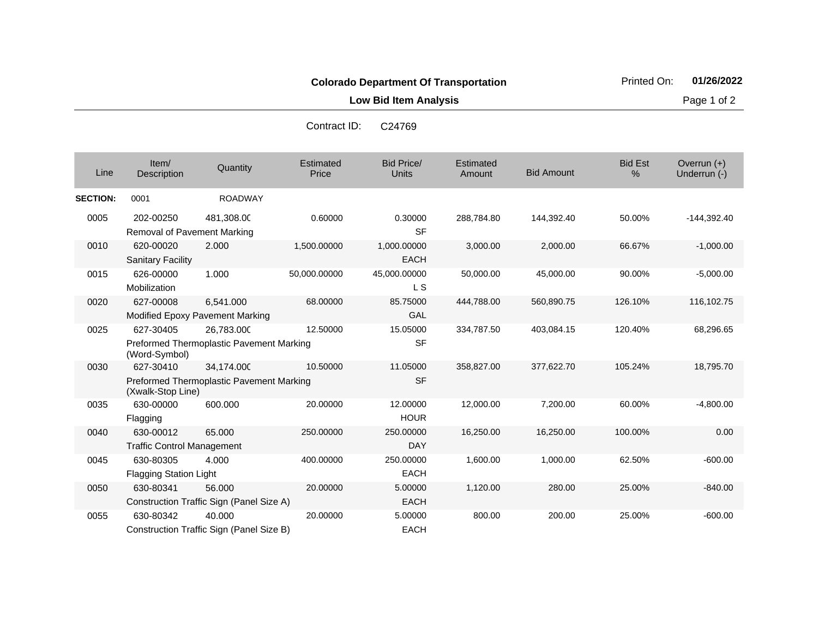**Low Bid Item Analysis Page 1 of 2** 

| Line            | Item/<br><b>Description</b>                    | Quantity                                               | Estimated<br>Price | <b>Bid Price/</b><br>Units | Estimated<br>Amount | <b>Bid Amount</b> | <b>Bid Est</b><br>$\%$ | Overrun $(+)$<br>Underrun (-) |
|-----------------|------------------------------------------------|--------------------------------------------------------|--------------------|----------------------------|---------------------|-------------------|------------------------|-------------------------------|
| <b>SECTION:</b> | 0001                                           | <b>ROADWAY</b>                                         |                    |                            |                     |                   |                        |                               |
| 0005            | 202-00250<br>Removal of Pavement Marking       | 481,308.00                                             | 0.60000            | 0.30000<br><b>SF</b>       | 288,784.80          | 144,392.40        | 50.00%                 | $-144,392.40$                 |
| 0010            | 620-00020<br><b>Sanitary Facility</b>          | 2.000                                                  | 1,500.00000        | 1,000.00000<br><b>EACH</b> | 3,000.00            | 2,000.00          | 66.67%                 | $-1,000.00$                   |
| 0015            | 626-00000<br>Mobilization                      | 1.000                                                  | 50,000.00000       | 45,000.00000<br>L S        | 50,000.00           | 45,000.00         | 90.00%                 | $-5,000.00$                   |
| 0020            | 627-00008                                      | 6,541.000<br>Modified Epoxy Pavement Marking           | 68.00000           | 85.75000<br>GAL            | 444,788.00          | 560,890.75        | 126.10%                | 116,102.75                    |
| 0025            | 627-30405<br>(Word-Symbol)                     | 26,783.000<br>Preformed Thermoplastic Pavement Marking | 12.50000           | 15.05000<br><b>SF</b>      | 334,787.50          | 403,084.15        | 120.40%                | 68,296.65                     |
| 0030            | 627-30410<br>(Xwalk-Stop Line)                 | 34,174.000<br>Preformed Thermoplastic Pavement Marking | 10.50000           | 11.05000<br><b>SF</b>      | 358,827.00          | 377,622.70        | 105.24%                | 18,795.70                     |
| 0035            | 630-00000<br>Flagging                          | 600.000                                                | 20.00000           | 12.00000<br><b>HOUR</b>    | 12,000.00           | 7,200.00          | 60.00%                 | $-4,800.00$                   |
| 0040            | 630-00012<br><b>Traffic Control Management</b> | 65.000                                                 | 250.00000          | 250.00000<br><b>DAY</b>    | 16,250.00           | 16,250.00         | 100.00%                | 0.00                          |
| 0045            | 630-80305<br><b>Flagging Station Light</b>     | 4.000                                                  | 400.00000          | 250.00000<br><b>EACH</b>   | 1,600.00            | 1,000.00          | 62.50%                 | $-600.00$                     |
| 0050            | 630-80341                                      | 56,000<br>Construction Traffic Sign (Panel Size A)     | 20.00000           | 5.00000<br><b>EACH</b>     | 1,120.00            | 280.00            | 25.00%                 | $-840.00$                     |
| 0055            | 630-80342                                      | 40.000<br>Construction Traffic Sign (Panel Size B)     | 20.00000           | 5.00000<br><b>EACH</b>     | 800.00              | 200.00            | 25.00%                 | $-600.00$                     |

Contract ID: C24769